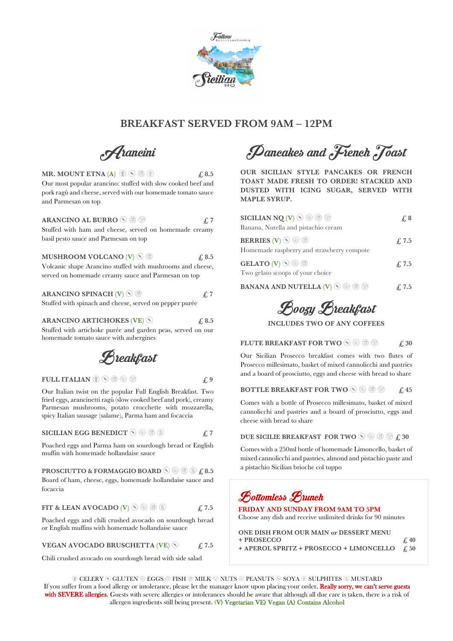

### **BREAKFAST SERVED FROM 9AM – 12PM**



**MR. MOUNT ETNA (A)**  $\circled{r}$   $\circled{r}$   $\circled{r}$  *£* **8.5** Our most popular arancino: stuffed with slow cooked beef and pork ragù and cheese, served with our homemade tomato sauce and Parmesan on top

**ARANCINO AL BURRO**  $\circledcirc$   $\circledcirc$   $\circledcirc$ Stuffed with ham and cheese, served on homemade creamy basil pesto sauce and Parmesan on top

**MUSHROOM VOLCANO (V)**  $\circledcirc$  iii  $f$  8.5 Volcanic shape Arancino stuffed with mushrooms and cheese, served on homemade creamy sauce and Parmesan on top

**ARANCINO SPINACH**  $(V)$  $\circledcirc$  $\circledcirc$   $\qquad\qquad$   $\qquad$   $\qquad$   $\qquad$   $\qquad$  7 Stuffed with spinach and cheese, served on pepper purée

**ARANCINO ARTICHOKES (VE)**  $\bigcirc$  **£** 8.5 Stuffed with artichoke purée and garden peas, served on our homemade tomato sauce with aubergines

Breakfast

**FULL ITALIAN**  $\mathcal{D} \otimes \mathcal{D} \otimes \mathcal{D}$  **6**  $\mathcal{D} \otimes \mathcal{D}$  *f.* **9** 

Our Italian twist on the popular Full English Breakfast. Two fried eggs, arancinetti ragù (slow cooked beef and pork), creamy Parmesan mushrooms, potato crocchette with mozzarella, spicy Italian sausage (salame), Parma ham and focaccia

#### **SICILIAN EGG BENEDICT**  $\otimes$   $\otimes$   $\otimes$   $\otimes$

Poached eggs and Parma ham on sourdough bread or English muffin with homemade hollandaise sauce

**PROSCIUTTO & FORMAGGIO BOARD**  $\circledcirc$   $\circledcirc$   $\circledcirc$   $\circledcirc$   $\circledcirc$  *f*, 8.5 Board of ham, cheese, eggs, homemade hollandaise sauce and focaccia

**FIT & LEAN AVOCADO (V)**  $\circledcirc$   $\circledcirc$   $\circledcirc$   $\circledcirc$ 

Poached eggs and chili crushed avocado on sourdough bread or English muffins with homemade hollandaise sauce

**VEGAN AVOCADO BRUSCHETTA (VE)**  $\otimes$  **£** 7.5

Chili crushed avocado on sourdough bread with side salad

Pancakes and French Toast

**OUR SICILIAN STYLE PANCAKES OR FRENCH TOAST MADE FRESH TO ORDER! STACKED AND DUSTED WITH ICING SUGAR, SERVED WITH MAPLE SYRUP.**

| <b>SICILIAN NQ</b> (V) $\circledcirc$ (0) $\circledcirc$                            | $\pm$ 8      |
|-------------------------------------------------------------------------------------|--------------|
| Banana, Nutella and pistachio cream                                                 |              |
| <b>BERRIES</b> (V) $\circledcirc$ (1)<br>Homemade raspberry and strawberry compote  | $f_{1.7.5}$  |
| <b>GELATO</b> (V) $\circledcirc$ $\circledcirc$<br>Two gelato scoops of your choice | $f_{.} 7.5$  |
| BANANA AND NUTELLA $(V)$ $\circledcirc$ $\circledcirc$<br>(V)                       | $\sqrt{7.5}$ |

Boozy Breakfast

**INCLUDES TWO OF ANY COFFEES**

**FLUTE BREAKFAST FOR TWO**  $\circ$   $\circ$   $\circ$   $\circ$   $\circ$ 

Our Sicilian Prosecco breakfast comes with two flutes of Prosecco millesimato, basket of mixed cannolicchi and pastries and a board of prosciutto, eggs and cheese with bread to share

**BOTTLE BREAKFAST FOR TWO** B A I D **£ 45**

Comes with a bottle of Prosecco millesimato, basket of mixed cannolicchi and pastries and a board of prosciutto, eggs and cheese with bread to share

**DUE SICILIE BREAKFAST FOR TWO**  $\circledcirc$   $\circledcirc$   $\circledcirc$   $\circledcirc$   $\cdot$   $f$ , 30

Comes with a 250ml bottle of homemade Limoncello, basket of mixed cannolicchi and pastries, almond and pistachio paste and a pistachio Sicilian brioche col tuppo

Bottomless Brunch

**FRIDAY AND SUNDAY FROM 9AM TO 5PM** Choose any dish and receive unlimited drinks for 90 minutes

**ONE DISH FROM OUR MAIN or DESSERT MENU + PROSECCO £ 40 + APEROL SPRITZ + PROSECCO + LIMONCELLO £ 50**

 $\circledast$  CELERY  $\circledast$  GLUTEN  $\circledast$  EGGS  $\circledast$  FISH  $\circledast$  MULK  $\circledast$  NUTS  $\circledast$  FONA  $\circledast$  SULPHITES  $\circledast$  MUSTARD If you suffer from a food allergy or intolerance, please let the manager know upon placing your order. Really sorry, we can't serve guests with SEVERE allergies. Guests with severe allergies or intolerances should be aware that although all due care is taken, there is a risk of allergen ingredients still being present. (V) Vegetarian VE) Vegan (A) Contains Alcohol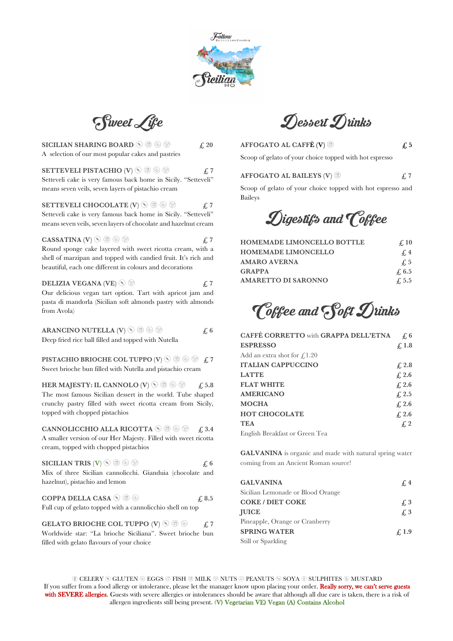

Sweet Life

| <b>SICILIAN SHARING BOARD OOO</b><br>£20<br>A selection of our most popular cakes and pastries                                                                                                                                                                         |
|------------------------------------------------------------------------------------------------------------------------------------------------------------------------------------------------------------------------------------------------------------------------|
| <b>SETTEVELI PISTACHIO (V)</b> (V) (1) (1)<br>£7<br>Setteveli cake is very famous back home in Sicily. "Setteveli"<br>means seven veils, seven layers of pistachio cream                                                                                               |
| <b>SETTEVELI CHOCOLATE (V)</b> $\circledcirc$ $\circledcirc$<br>£, 7<br>Setteveli cake is very famous back home in Sicily. "Setteveli"<br>means seven veils, seven layers of chocolate and hazelnut cream                                                              |
| CASSATINA $(V)$ ( $\circledcirc$ ( $\circledcirc$ ( $\circledcirc$<br>£. 7<br>Round sponge cake layered with sweet ricotta cream, with a<br>shell of marzipan and topped with candied fruit. It's rich and<br>beautiful, each one different in colours and decorations |
| <b>DELIZIA VEGANA (VE)</b> S<br>£, 7<br>Our delicious vegan tart option. Tart with apricot jam and<br>pasta di mandorla (Sicilian soft almonds pastry with almonds<br>from Avola)                                                                                      |
| ARANCINO NUTELLA $(V)$ $\circledcirc$ $\circledcirc$ $\circledcirc$<br>$\overline{\mathcal{L}}$ 6<br>Deep fried rice ball filled and topped with Nutella                                                                                                               |
| PISTACHIO BRIOCHE COL TUPPO (V) $\circledcirc \circledcirc$<br>£7<br>Sweet brioche bun filled with Nutella and pistachio cream                                                                                                                                         |
| HER MAJESTY: IL CANNOLO (V) $\circledcirc \circledcirc$<br>f <sub>c</sub> 5.8<br>The most famous Sicilian dessert in the world. Tube shaped<br>crunchy pastry filled with sweet ricotta cream from Sicily,<br>topped with chopped pistachios                           |
| <b>CANNOLICCHIO ALLA RICOTTA</b> O 10 8<br>$f_{\rm A} 3.4$<br>A smaller version of our Her Majesty. Filled with sweet ricotta<br>cream, topped with chopped pistachios                                                                                                 |
| <b>SICILIAN TRIS (V)</b> $\circledcirc$ $\circledcirc$ $\circledcirc$<br>$\sqrt{6}$<br>Mix of three Sicilian cannolicchi. Gianduia (chocolate and<br>hazelnut), pistachio and lemon                                                                                    |
| <b>COPPA DELLA CASA</b> O 10<br>£ 8.5                                                                                                                                                                                                                                  |

Full cup of gelato topped with a cannolicchio shell on top

**GELATO BRIOCHE COL TUPPO**  $(V)$   $\circledcirc$   $\circledcirc$   $\circledcirc$   $\circledcirc$   $\circledcirc$   $\circledcirc$   $\circledcirc$   $\circledcirc$ Worldwide star: "La brioche Siciliana". Sweet brioche bun filled with gelato flavours of your choice

Dessert Drinks

**AFFOGATO AL CAFFÈ (V)**  $\circledcirc$   $\qquad$   $\qquad$   $\qquad$   $\qquad$  5

Scoop of gelato of your choice topped with hot espresso

### **AFFOGATO AL BAILEYS (V)**  $\textcircled{\tiny{\textcircled{\tiny{1}}}}$  **1**  $\textcircled{\tiny{\textcircled{\tiny{1}}}}$  **1**  $\textcircled{\tiny{\textcircled{\tiny{1}}}}$

Scoop of gelato of your choice topped with hot espresso and Baileys

## Digestifs and Coffee

| <b>HOMEMADE LIMONCELLO BOTTLE</b> | $\sqrt{10}$  |
|-----------------------------------|--------------|
| <b>HOMEMADE LIMONCELLO</b>        | $\sqrt{4}$   |
| <b>AMARO AVERNA</b>               | $\sqrt{.5}$  |
| <b>GRAPPA</b>                     | $\sqrt{6.5}$ |
| <b>AMARETTO DI SARONNO</b>        | $\sqrt{5.5}$ |

# **Coffee and Soft Drinks**

| <b>CAFFÈ CORRETTO with GRAPPA DELL'ETNA</b> | $\sqrt{6}$   |
|---------------------------------------------|--------------|
| <b>ESPRESSO</b>                             | $\sqrt{1.8}$ |
| Add an extra shot for $\ell$ , 1.20         |              |
| <b>ITALIAN CAPPUCCINO</b>                   | f. 2.8       |
| <b>LATTE</b>                                | f. 2.6       |
| <b>FLAT WHITE</b>                           | f. 2.6       |
| <b>AMERICANO</b>                            | f. 2.5       |
| <b>MOCHA</b>                                | f. 2.6       |
| <b>HOT CHOCOLATE</b>                        | f. 2.6       |
| <b>TEA</b>                                  | $fi$ 2       |
| English Breakfast or Green Tea              |              |

**GALVANINA** is organic and made with natural spring water coming from an Ancient Roman source!

| <b>GALVANINA</b>                  | $\pm$ 4      |
|-----------------------------------|--------------|
| Sicilian Lemonade or Blood Orange |              |
| <b>COKE/DIET COKE</b>             | $\sqrt{3}$   |
| <b>IUICE</b>                      | $\sqrt{3}$   |
| Pineapple, Orange or Cranberry    |              |
| <b>SPRING WATER</b>               | $\angle$ 1.9 |
| Still or Sparkling                |              |

 $\circledast$  CELERY  $\circledast$  GLUTEN  $\circledast$  EGGS  $\circledast$  FISH  $\circledast$  MULK  $\circledast$  NUTS  $\circledast$  EQNA  $\circledast$  SULPHITES  $\circledast$  MUSTARD If you suffer from a food allergy or intolerance, please let the manager know upon placing your order. Really sorry, we can't serve guests with SEVERE allergies. Guests with severe allergies or intolerances should be aware that although all due care is taken, there is a risk of allergen ingredients still being present. (V) Vegetarian VE) Vegan (A) Contains Alcohol